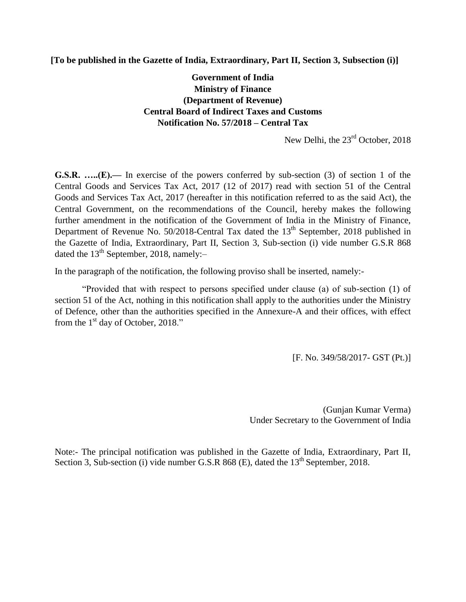**[To be published in the Gazette of India, Extraordinary, Part II, Section 3, Subsection (i)]**

**Government of India Ministry of Finance (Department of Revenue) Central Board of Indirect Taxes and Customs Notification No. 57/2018 – Central Tax** 

New Delhi, the  $23<sup>rd</sup>$  October, 2018

**G.S.R. …..(E).—** In exercise of the powers conferred by sub-section (3) of section 1 of the Central Goods and Services Tax Act, 2017 (12 of 2017) read with section 51 of the Central Goods and Services Tax Act, 2017 (hereafter in this notification referred to as the said Act), the Central Government, on the recommendations of the Council, hereby makes the following further amendment in the notification of the Government of India in the Ministry of Finance, Department of Revenue No.  $50/2018$ -Central Tax dated the  $13<sup>th</sup>$  September, 2018 published in the Gazette of India, Extraordinary, Part II, Section 3, Sub-section (i) vide number G.S.R 868 dated the  $13<sup>th</sup>$  September, 2018, namely:-

In the paragraph of the notification, the following proviso shall be inserted, namely:-

"Provided that with respect to persons specified under clause (a) of sub-section (1) of section 51 of the Act, nothing in this notification shall apply to the authorities under the Ministry of Defence, other than the authorities specified in the Annexure-A and their offices, with effect from the  $1<sup>st</sup>$  day of October, 2018."

[F. No. 349/58/2017- GST (Pt.)]

(Gunjan Kumar Verma) Under Secretary to the Government of India

Note:- The principal notification was published in the Gazette of India, Extraordinary, Part II, Section 3, Sub-section (i) vide number G.S.R 868 (E), dated the  $13<sup>th</sup>$  September, 2018.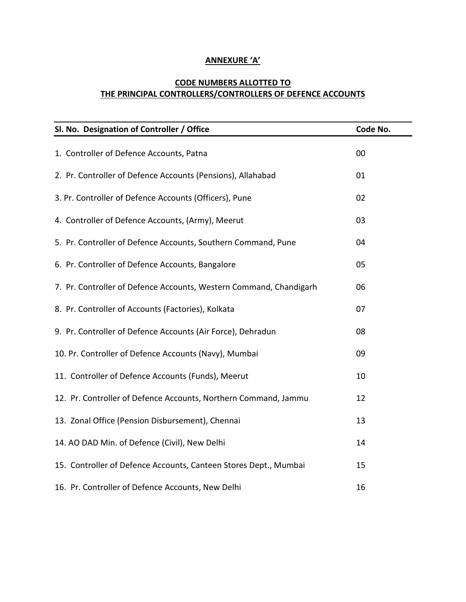## **ANNEXURE 'A'**

## **CODE NUMBERS ALLOTTED TO THE PRINCIPAL CONTROLLERS/CONTROLLERS OF DEFENCE ACCOUNTS**

| Sl. No. Designation of Controller / Office                         | Code No. |
|--------------------------------------------------------------------|----------|
| 1. Controller of Defence Accounts, Patna                           | 00       |
| 2. Pr. Controller of Defence Accounts (Pensions), Allahabad        | 01       |
| 3. Pr. Controller of Defence Accounts (Officers), Pune             | 02       |
| 4. Controller of Defence Accounts, (Army), Meerut                  | 03       |
| 5. Pr. Controller of Defence Accounts, Southern Command, Pune      | 04       |
| 6. Pr. Controller of Defence Accounts, Bangalore                   | 05       |
| 7. Pr. Controller of Defence Accounts, Western Command, Chandigarh | 06       |
| 8. Pr. Controller of Accounts (Factories), Kolkata                 | 07       |
| 9. Pr. Controller of Defence Accounts (Air Force), Dehradun        | 08       |
| 10. Pr. Controller of Defence Accounts (Navy), Mumbai              | 09       |
| 11. Controller of Defence Accounts (Funds), Meerut                 | 10       |
| 12. Pr. Controller of Defence Accounts, Northern Command, Jammu    | 12       |
| 13. Zonal Office (Pension Disbursement), Chennai                   | 13       |
| 14. AO DAD Min. of Defence (Civil), New Delhi                      | 14       |
| 15. Controller of Defence Accounts, Canteen Stores Dept., Mumbai   | 15       |
| 16. Pr. Controller of Defence Accounts, New Delhi                  | 16       |